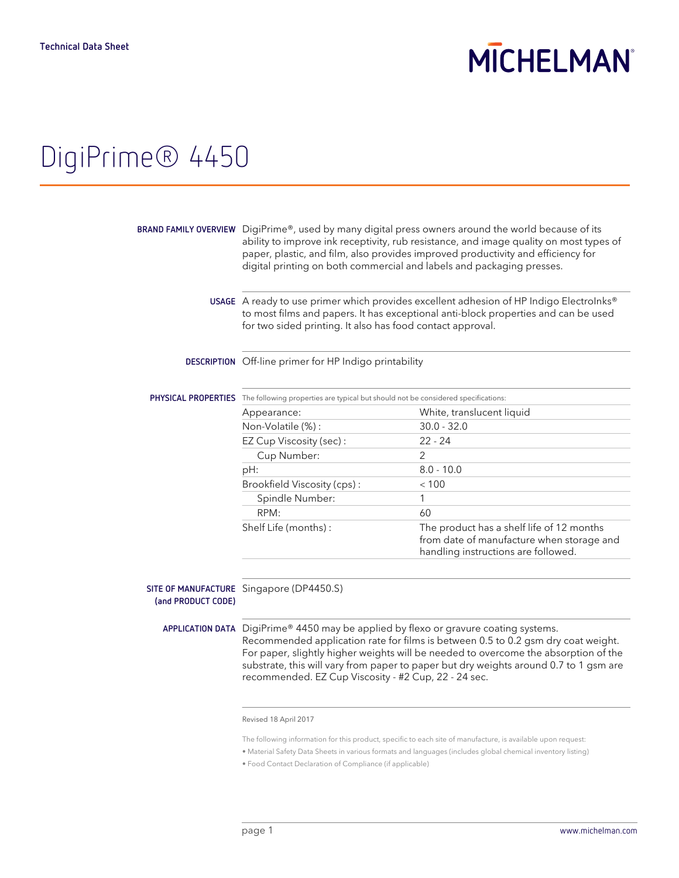## **MICHELMAN**

## DigiPrime® 4450

|                    | BRAND FAMILY OVERVIEW DigiPrime®, used by many digital press owners around the world because of its<br>ability to improve ink receptivity, rub resistance, and image quality on most types of<br>paper, plastic, and film, also provides improved productivity and efficiency for<br>digital printing on both commercial and labels and packaging presses.                                                        |                                                                                                                               |  |
|--------------------|-------------------------------------------------------------------------------------------------------------------------------------------------------------------------------------------------------------------------------------------------------------------------------------------------------------------------------------------------------------------------------------------------------------------|-------------------------------------------------------------------------------------------------------------------------------|--|
|                    | USAGE A ready to use primer which provides excellent adhesion of HP Indigo ElectroInks®<br>to most films and papers. It has exceptional anti-block properties and can be used<br>for two sided printing. It also has food contact approval.                                                                                                                                                                       |                                                                                                                               |  |
|                    | DESCRIPTION Off-line primer for HP Indigo printability                                                                                                                                                                                                                                                                                                                                                            |                                                                                                                               |  |
|                    | PHYSICAL PROPERTIES The following properties are typical but should not be considered specifications:                                                                                                                                                                                                                                                                                                             |                                                                                                                               |  |
|                    | Appearance:                                                                                                                                                                                                                                                                                                                                                                                                       | White, translucent liquid                                                                                                     |  |
|                    | Non-Volatile (%):                                                                                                                                                                                                                                                                                                                                                                                                 | $30.0 - 32.0$                                                                                                                 |  |
|                    | EZ Cup Viscosity (sec):                                                                                                                                                                                                                                                                                                                                                                                           | $22 - 24$                                                                                                                     |  |
|                    | Cup Number:                                                                                                                                                                                                                                                                                                                                                                                                       | 2                                                                                                                             |  |
|                    | pH:                                                                                                                                                                                                                                                                                                                                                                                                               | $8.0 - 10.0$                                                                                                                  |  |
|                    | Brookfield Viscosity (cps):                                                                                                                                                                                                                                                                                                                                                                                       | < 100                                                                                                                         |  |
|                    | Spindle Number:                                                                                                                                                                                                                                                                                                                                                                                                   | 1                                                                                                                             |  |
|                    | RPM:                                                                                                                                                                                                                                                                                                                                                                                                              | 60                                                                                                                            |  |
|                    | Shelf Life (months) :                                                                                                                                                                                                                                                                                                                                                                                             | The product has a shelf life of 12 months<br>from date of manufacture when storage and<br>handling instructions are followed. |  |
|                    |                                                                                                                                                                                                                                                                                                                                                                                                                   |                                                                                                                               |  |
| (and PRODUCT CODE) | SITE OF MANUFACTURE Singapore (DP4450.S)                                                                                                                                                                                                                                                                                                                                                                          |                                                                                                                               |  |
|                    | APPLICATION DATA DigiPrime® 4450 may be applied by flexo or gravure coating systems.<br>Recommended application rate for films is between 0.5 to 0.2 gsm dry coat weight.<br>For paper, slightly higher weights will be needed to overcome the absorption of the<br>substrate, this will vary from paper to paper but dry weights around 0.7 to 1 gsm are<br>recommended. EZ Cup Viscosity - #2 Cup, 22 - 24 sec. |                                                                                                                               |  |

Revised 18 April 2017

The following information for this product, specific to each site of manufacture, is available upon request:

<sup>•</sup> Material Safety Data Sheets in various formats and languages (includes global chemical inventory listing)

<sup>•</sup> Food Contact Declaration of Compliance (if applicable)